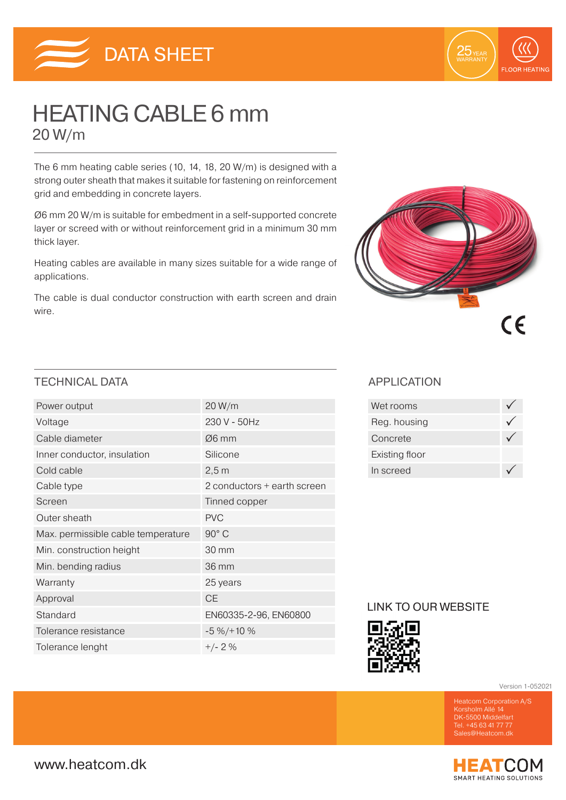



# HEATING CABLE 6 mm 20 W/m

The 6 mm heating cable series (10, 14, 18, 20 W/m) is designed with a strong outer sheath that makes it suitable for fastening on reinforcement grid and embedding in concrete layers.

Ø6 mm 20 W/m is suitable for embedment in a self-supported concrete layer or screed with or without reinforcement grid in a minimum 30 mm thick layer.

Heating cables are available in many sizes suitable for a wide range of applications.

The cable is dual conductor construction with earth screen and drain wire.



### TECHNICAL DATA APPLICATION

| Power output                       | 20 W/m                      |
|------------------------------------|-----------------------------|
| Voltage                            | 230 V - 50Hz                |
| Cable diameter                     | $\varnothing$ 6 mm          |
| Inner conductor, insulation        | Silicone                    |
| Cold cable                         | 2,5m                        |
| Cable type                         | 2 conductors + earth screen |
| Screen                             | Tinned copper               |
| Outer sheath                       | <b>PVC</b>                  |
| Max. permissible cable temperature | 90° C                       |
| Min. construction height           | 30 mm                       |
| Min. bending radius                | 36 mm                       |
| Warranty                           | 25 years                    |
| Approval                           | <b>CE</b>                   |
| Standard                           | EN60335-2-96, EN60800       |
| Tolerance resistance               | $-5\% / + 10\%$             |
| Tolerance lenght                   | $+/- 2 \%$                  |

| Wet rooms      |  |
|----------------|--|
| Reg. housing   |  |
| Concrete       |  |
| Existing floor |  |
| In screed      |  |

### LINK TO OUR WEBSITE



Version 1-052021

DK-5500 Middelfart Tel. +45 63 41 77 77